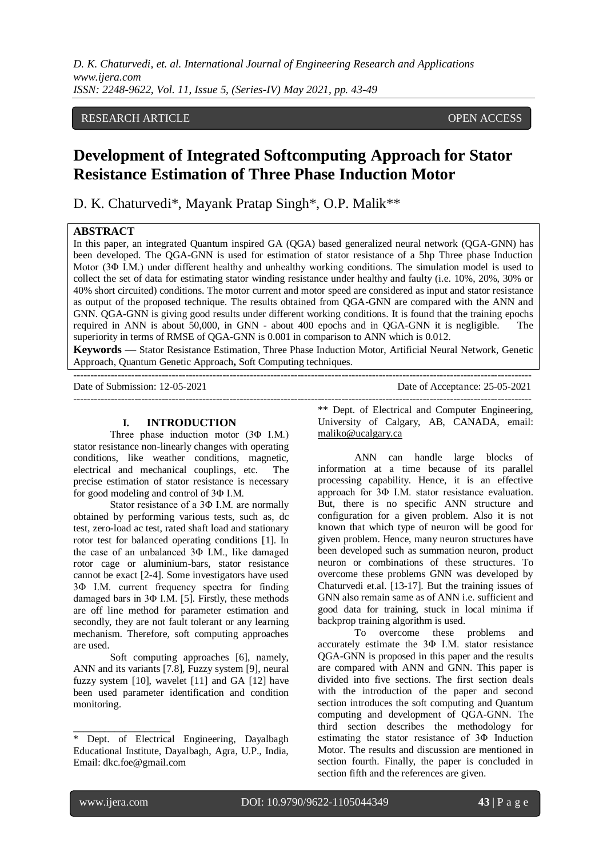*D. K. Chaturvedi, et. al. International Journal of Engineering Research and Applications www.ijera.com ISSN: 2248-9622, Vol. 11, Issue 5, (Series-IV) May 2021, pp. 43-49*

# RESEARCH ARTICLE OPEN ACCESS

# **Development of Integrated Softcomputing Approach for Stator Resistance Estimation of Three Phase Induction Motor**

D. K. Chaturvedi\*, Mayank Pratap Singh\*, O.P. Malik\*\*

# **ABSTRACT**

In this paper, an integrated Quantum inspired GA (QGA) based generalized neural network (QGA-GNN) has been developed. The QGA-GNN is used for estimation of stator resistance of a 5hp Three phase Induction Motor (3Φ I.M.) under different healthy and unhealthy working conditions. The simulation model is used to collect the set of data for estimating stator winding resistance under healthy and faulty (i.e. 10%, 20%, 30% or 40% short circuited) conditions. The motor current and motor speed are considered as input and stator resistance as output of the proposed technique. The results obtained from QGA-GNN are compared with the ANN and GNN. QGA-GNN is giving good results under different working conditions. It is found that the training epochs required in ANN is about 50,000, in GNN - about 400 epochs and in QGA-GNN it is negligible. The superiority in terms of RMSE of QGA-GNN is 0.001 in comparison to ANN which is 0.012.

**Keywords** — Stator Resistance Estimation, Three Phase Induction Motor, Artificial Neural Network, Genetic Approach, Quantum Genetic Approach**,** Soft Computing techniques.

---------------------------------------------------------------------------------------------------------------------------------------

Date of Submission: 12-05-2021 Date of Acceptance: 25-05-2021 ---------------------------------------------------------------------------------------------------------------------------------------

#### **I. INTRODUCTION**

Three phase induction motor (3Φ I.M.) stator resistance non-linearly changes with operating conditions, like weather conditions, magnetic, electrical and mechanical couplings, etc. The precise estimation of stator resistance is necessary for good modeling and control of 3Φ I.M.

Stator resistance of a 3Φ I.M. are normally obtained by performing various tests, such as, dc test, zero-load ac test, rated shaft load and stationary rotor test for balanced operating conditions [1]. In the case of an unbalanced 3Φ I.M., like damaged rotor cage or aluminium-bars, stator resistance cannot be exact [2-4]. Some investigators have used 3Φ I.M. current frequency spectra for finding damaged bars in 3Φ I.M. [5]. Firstly, these methods are off line method for parameter estimation and secondly, they are not fault tolerant or any learning mechanism. Therefore, soft computing approaches are used.

Soft computing approaches [6], namely, ANN and its variants [7.8], Fuzzy system [9], neural fuzzy system [10], wavelet [11] and GA [12] have been used parameter identification and condition monitoring.

\*\* Dept. of Electrical and Computer Engineering, University of Calgary, AB, CANADA, email: [maliko@ucalgary.ca](mailto:maliko@ucalgary.ca)

ANN can handle large blocks of information at a time because of its parallel processing capability. Hence, it is an effective approach for 3Φ I.M. stator resistance evaluation. But, there is no specific ANN structure and configuration for a given problem. Also it is not known that which type of neuron will be good for given problem. Hence, many neuron structures have been developed such as summation neuron, product neuron or combinations of these structures. To overcome these problems GNN was developed by Chaturvedi et.al. [13-17]. But the training issues of GNN also remain same as of ANN i.e. sufficient and good data for training, stuck in local minima if backprop training algorithm is used.

To overcome these problems and accurately estimate the 3Φ I.M. stator resistance QGA-GNN is proposed in this paper and the results are compared with ANN and GNN. This paper is divided into five sections. The first section deals with the introduction of the paper and second section introduces the soft computing and Quantum computing and development of QGA-GNN. The third section describes the methodology for estimating the stator resistance of 3Φ Induction Motor. The results and discussion are mentioned in section fourth. Finally, the paper is concluded in section fifth and the references are given.

\_\_\_\_\_\_\_\_\_\_\_\_\_\_\_\_\_\_\_

Dept. of Electrical Engineering, Dayalbagh Educational Institute, Dayalbagh, Agra, U.P., India, Email: dkc.foe@gmail.com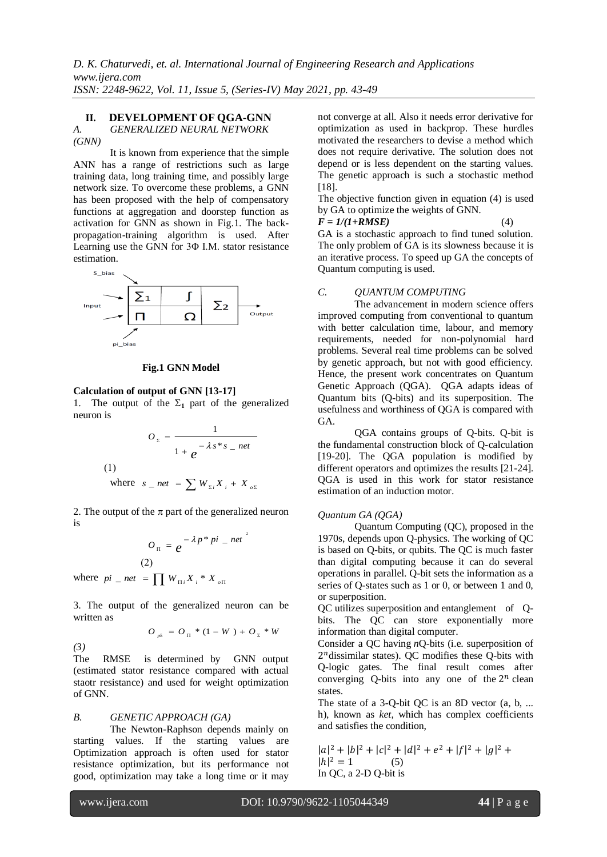### **II. DEVELOPMENT OF QGA-GNN**

# *A. GENERALIZED NEURAL NETWORK (GNN)*

It is known from experience that the simple ANN has a range of restrictions such as large training data, long training time, and possibly large network size. To overcome these problems, a GNN has been proposed with the help of compensatory functions at aggregation and doorstep function as activation for GNN as shown in Fig.1. The backpropagation-training algorithm is used. After Learning use the GNN for 3Φ I.M. stator resistance estimation.



#### **Fig.1 GNN Model**

### **Calculation of output of GNN [13-17]**

1. The output of the  $\Sigma_1$  part of the generalized neuron is

$$
O_z = \frac{1}{1 + e^{-\lambda s^* s - net}}
$$
  
(1)  
where  $s = net = \sum W_{z_i} X_i + X_{oz}$ 

2. The output of the  $\pi$  part of the generalized neuron is

$$
O_{\Pi} = e^{-\lambda p^* p i} - net
$$
  
(2)

where  $pi_{i}$  *net* =  $\prod_{i}$   $W_{\Pi i} X_i * X_{\Pi}$ 

3. The output of the generalized neuron can be written as

$$
O_{p k} = O_{\Pi} * (1 - W) + O_{\Sigma} * W
$$

*(3)* 

The RMSE is determined by GNN output (estimated stator resistance compared with actual staotr resistance) and used for weight optimization of GNN.

### *B. GENETIC APPROACH (GA)*

The Newton-Raphson depends mainly on starting values. If the starting values are Optimization approach is often used for stator resistance optimization, but its performance not good, optimization may take a long time or it may not converge at all. Also it needs error derivative for optimization as used in backprop. These hurdles motivated the researchers to devise a method which does not require derivative. The solution does not depend or is less dependent on the starting values. The genetic approach is such a stochastic method [18].

The objective function given in equation (4) is used by GA to optimize the weights of GNN.

$$
F = 1/(1 + RMSE) \tag{4}
$$

GA is a stochastic approach to find tuned solution. The only problem of GA is its slowness because it is an iterative process. To speed up GA the concepts of Quantum computing is used.

### *C. QUANTUM COMPUTING*

The advancement in modern science offers improved computing from conventional to quantum with better calculation time, labour, and memory requirements, needed for non-polynomial hard problems. Several real time problems can be solved by genetic approach, but not with good efficiency. Hence, the present work concentrates on Quantum Genetic Approach (QGA). QGA adapts ideas of Quantum bits (Q-bits) and its superposition. The usefulness and worthiness of QGA is compared with  $G\Delta$ 

QGA contains groups of Q-bits. Q-bit is the fundamental construction block of Q-calculation [19-20]. The QGA population is modified by different operators and optimizes the results [21-24]. QGA is used in this work for stator resistance estimation of an induction motor.

### *Quantum GA (QGA)*

Quantum Computing (QC), proposed in the 1970s, depends upon Q-physics. The working of QC is based on Q-bits, or [qubits.](http://www.webopedia.com/TERM/Q/qubit.html) The QC is much faster than digital computing because it can do several operations in parallel. Q-bit sets the information as a series of Q-states such as 1 or 0, or between 1 and 0, or superposition.

QC utilizes [superposition](https://en.wikipedia.org/wiki/Quantum_superposition) and [entanglement](https://en.wikipedia.org/wiki/Quantum_entanglement) of Qbits. The QC can store exponentially more information than digital computer.

Consider a QC having *n*Q-bits (i.e. superposition of  $2<sup>n</sup>$ dissimilar states). QC modifies these Q-bits with [Q-logic gates.](https://en.wikipedia.org/wiki/Quantum_gate) The final result comes after converging Q-bits into any one of the  $2^n$  clean states.

The state of a 3-O-bit OC is an 8D vector (a, b, ... h), known as *[ket](https://en.wikipedia.org/wiki/Bra-ket_notation)*, which has complex coefficients and satisfies the condition,

 $|a|^2 + |b|^2 + |c|^2 + |d|^2 + e^2 + |f|^2 + |g|^2$  $|h|^2 = 1$  (5) In QC, a 2-D Q-bit is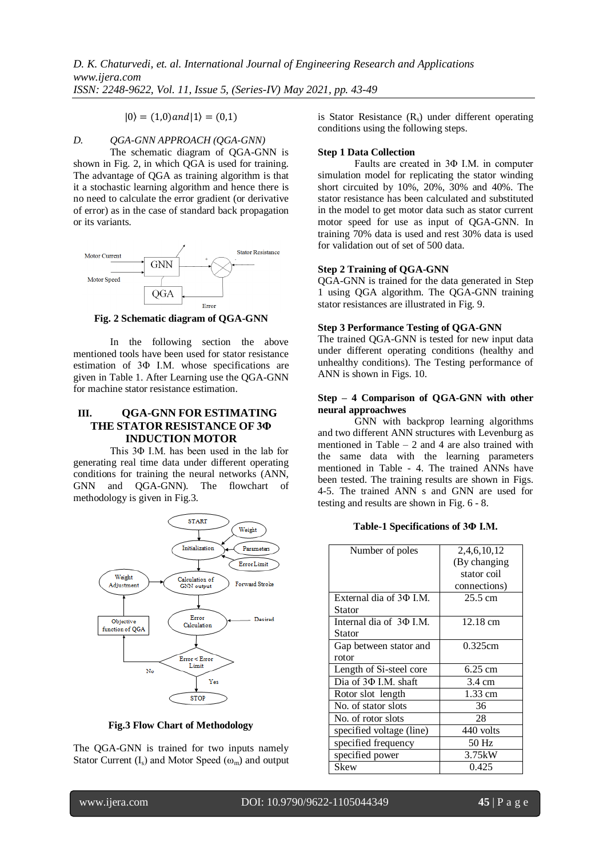$|0\rangle = (1,0)$  and  $|1\rangle = (0,1)$ 

# *D. QGA-GNN APPROACH (QGA-GNN)*

The schematic diagram of QGA-GNN is shown in Fig. 2, in which QGA is used for training. The advantage of QGA as training algorithm is that it a stochastic learning algorithm and hence there is no need to calculate the error gradient (or derivative of error) as in the case of standard back propagation or its variants.



**Fig. 2 Schematic diagram of QGA-GNN**

In the following section the above mentioned tools have been used for stator resistance estimation of 3Φ I.M. whose specifications are given in Table 1. After Learning use the QGA-GNN for machine stator resistance estimation.

# **III. QGA-GNN FOR ESTIMATING THE STATOR RESISTANCE OF 3Φ INDUCTION MOTOR**

This 3Φ I.M. has been used in the lab for generating real time data under different operating conditions for training the neural networks (ANN, GNN and QGA-GNN). The flowchart of methodology is given in Fig.3.



**Fig.3 Flow Chart of Methodology**

The QGA-GNN is trained for two inputs namely Stator Current  $(I_s)$  and Motor Speed  $(\omega_m)$  and output is Stator Resistance  $(R_s)$  under different operating conditions using the following steps.

### **Step 1 Data Collection**

Faults are created in 3Φ I.M. in computer simulation model for replicating the stator winding short circuited by 10%, 20%, 30% and 40%. The stator resistance has been calculated and substituted in the model to get motor data such as stator current motor speed for use as input of QGA-GNN. In training 70% data is used and rest 30% data is used for validation out of set of 500 data.

### **Step 2 Training of QGA-GNN**

QGA-GNN is trained for the data generated in Step 1 using QGA algorithm. The QGA-GNN training stator resistances are illustrated in Fig. 9.

### **Step 3 Performance Testing of QGA-GNN**

The trained QGA-GNN is tested for new input data under different operating conditions (healthy and unhealthy conditions). The Testing performance of ANN is shown in Figs. 10.

### **Step – 4 Comparison of QGA-GNN with other neural approachwes**

GNN with backprop learning algorithms and two different ANN structures with Levenburg as mentioned in Table – 2 and 4 are also trained with the same data with the learning parameters mentioned in Table - 4. The trained ANNs have been tested. The training results are shown in Figs. 4-5. The trained ANN s and GNN are used for testing and results are shown in Fig. 6 - 8.

**Table-1 Specifications of 3Φ I.M.**

| Number of poles            | 2,4,6,10,12      |
|----------------------------|------------------|
|                            | (By changing)    |
|                            | stator coil      |
|                            | connections)     |
| External dia of 30 I.M.    | 25.5 cm          |
| Stator                     |                  |
| Internal dia of 30 I.M.    | 12.18 cm         |
| Stator                     |                  |
| Gap between stator and     | 0.325cm          |
| rotor                      |                  |
| Length of Si-steel core    | 6.25 cm          |
| Dia of 3 $\Phi$ I.M. shaft | $3.4 \text{ cm}$ |
| Rotor slot length          | $1.33$ cm        |
| No. of stator slots        | 36               |
| No. of rotor slots         | 28               |
| specified voltage (line)   | 440 volts        |
| specified frequency        | 50 Hz            |
| specified power            | 3.75kW           |
| Skew                       | 0.425            |
|                            |                  |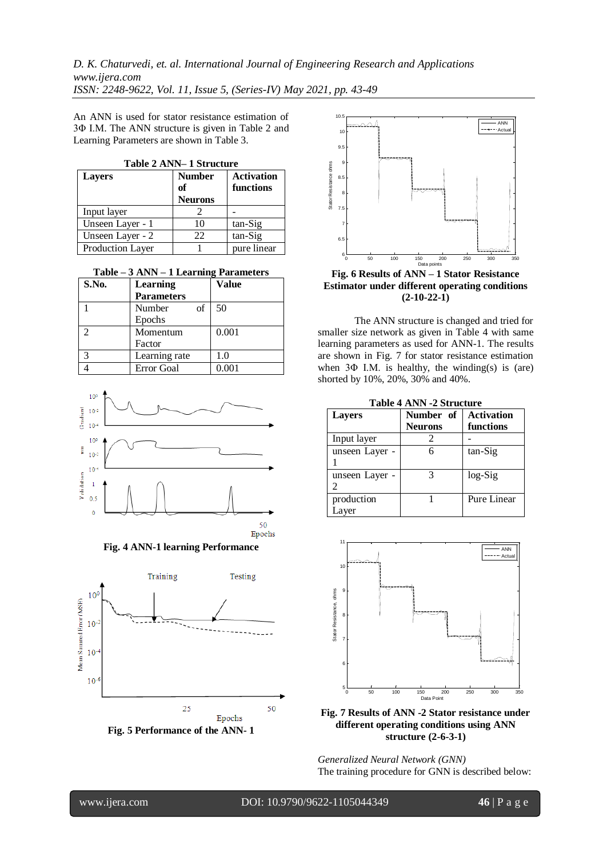*D. K. Chaturvedi, et. al. International Journal of Engineering Research and Applications www.ijera.com ISSN: 2248-9622, Vol. 11, Issue 5, (Series-IV) May 2021, pp. 43-49*

An ANN is used for stator resistance estimation of 3Φ I.M. The ANN structure is given in Table 2 and Learning Parameters are shown in Table 3.

| Table 2 ANN-1 Structure |  |  |
|-------------------------|--|--|
|-------------------------|--|--|

| <b>Layers</b>    | <b>Number</b>  | <b>Activation</b> |
|------------------|----------------|-------------------|
|                  | of             | functions         |
|                  | <b>Neurons</b> |                   |
| Input layer      |                |                   |
| Unseen Layer - 1 | 10             | tan-Sig           |
| Unseen Layer - 2 | 22             | tan-Sig           |
| Production Layer |                | pure linear       |

**Table – 3 ANN – 1 Learning Parameters**

| S.No. | Learning          | <b>Value</b> |
|-------|-------------------|--------------|
|       | <b>Parameters</b> |              |
|       | Number<br>of      | 50           |
|       | Epochs            |              |
| っ     | Momentum          | 0.001        |
|       | Factor            |              |
| 3     | Learning rate     | 1.0          |
|       | Error Goal        | 0.001        |











**Fig. 6 Results of ANN – 1 Stator Resistance Estimator under different operating conditions (2-10-22-1)**

The ANN structure is changed and tried for smaller size network as given in Table 4 with same learning parameters as used for ANN-1. The results are shown in Fig. 7 for stator resistance estimation when  $3\Phi$  I.M. is healthy, the winding(s) is (are) shorted by 10%, 20%, 30% and 40%.

| <b>Table 4 ANN -2 Structure</b> |  |  |  |
|---------------------------------|--|--|--|
|                                 |  |  |  |

| <b>Layers</b>       | Number of<br><b>Neurons</b> | <b>Activation</b><br>functions |
|---------------------|-----------------------------|--------------------------------|
| Input layer         |                             |                                |
| unseen Layer -      | 6                           | tan-Sig                        |
| unseen Layer -      |                             | $log-Sig$                      |
| production<br>Laver |                             | Pure Linear                    |



**Fig. 7 Results of ANN -2 Stator resistance under different operating conditions using ANN structure (2-6-3-1)**

*Generalized Neural Network (GNN)* The training procedure for GNN is described below: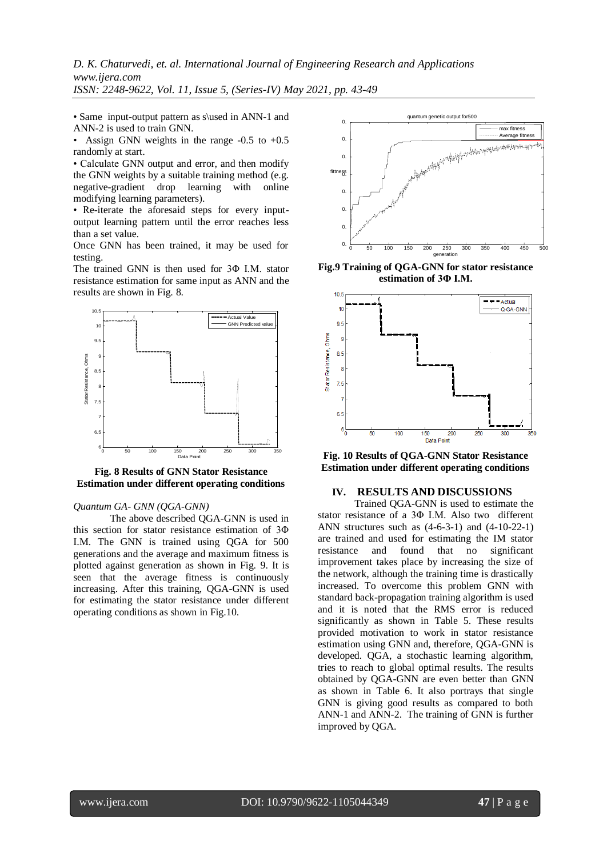*D. K. Chaturvedi, et. al. International Journal of Engineering Research and Applications www.ijera.com*

*ISSN: 2248-9622, Vol. 11, Issue 5, (Series-IV) May 2021, pp. 43-49*

• Same input-output pattern as s\used in ANN-1 and ANN-2 is used to train GNN.

• Assign GNN weights in the range  $-0.5$  to  $+0.5$ randomly at start.

• Calculate GNN output and error, and then modify the GNN weights by a suitable training method (e.g. negative-gradient drop learning with online modifying learning parameters).

• Re-iterate the aforesaid steps for every inputoutput learning pattern until the error reaches less than a set value.

Once GNN has been trained, it may be used for testing.

The trained GNN is then used for 3Φ I.M. stator resistance estimation for same input as ANN and the results are shown in Fig. 8.



**Fig. 8 Results of GNN Stator Resistance Estimation under different operating conditions**

### *Quantum GA- GNN (QGA-GNN)*

The above described QGA-GNN is used in this section for stator resistance estimation of 3Φ I.M. The GNN is trained using QGA for 500 generations and the average and maximum fitness is plotted against generation as shown in Fig. 9. It is seen that the average fitness is continuously increasing. After this training, QGA-GNN is used for estimating the stator resistance under different operating conditions as shown in Fig.10.



**Fig.9 Training of QGA-GNN for stator resistance estimation of 3Φ I.M.**



**Fig. 10 Results of QGA-GNN Stator Resistance Estimation under different operating conditions**

# **IV. RESULTS AND DISCUSSIONS**

Trained QGA-GNN is used to estimate the stator resistance of a 3Φ I.M. Also two different ANN structures such as (4-6-3-1) and (4-10-22-1) are trained and used for estimating the IM stator resistance and found that no significant improvement takes place by increasing the size of the network, although the training time is drastically increased. To overcome this problem GNN with standard back-propagation training algorithm is used and it is noted that the RMS error is reduced significantly as shown in Table 5. These results provided motivation to work in stator resistance estimation using GNN and, therefore, QGA-GNN is developed. QGA, a stochastic learning algorithm, tries to reach to global optimal results. The results obtained by QGA-GNN are even better than GNN as shown in Table 6. It also portrays that single GNN is giving good results as compared to both ANN-1 and ANN-2. The training of GNN is further improved by QGA.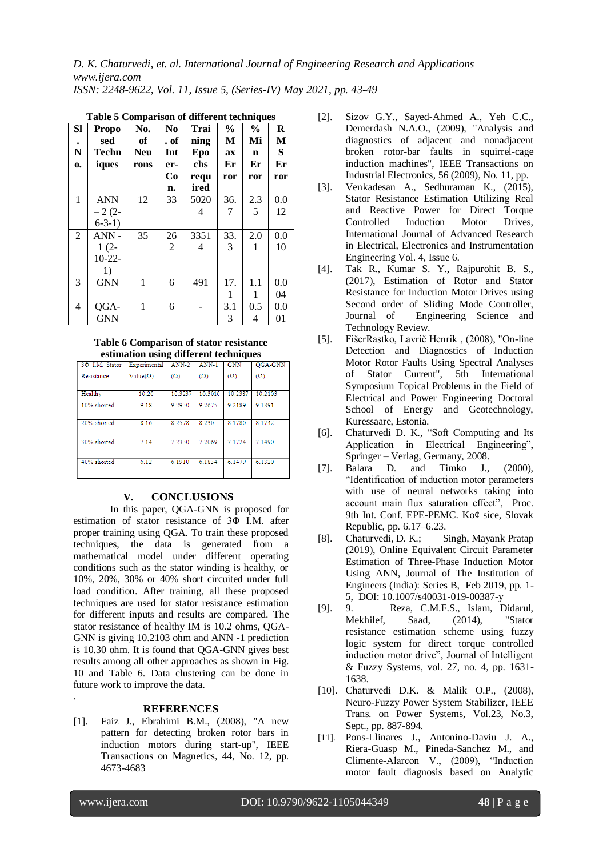*D. K. Chaturvedi, et. al. International Journal of Engineering Research and Applications www.ijera.com ISSN: 2248-9622, Vol. 11, Issue 5, (Series-IV) May 2021, pp. 43-49*

| SI<br>${\bf N}$<br>0. | <b>Propo</b><br>sed<br><b>Techn</b><br>iques | No.<br>of<br><b>Neu</b><br>rons | N <sub>0</sub><br>. of<br>Int<br>er- | Trai<br>ning<br>Epo<br>chs | $\frac{0}{0}$<br>М<br>ax<br>Er | $\frac{0}{0}$<br>Mi<br>n<br>Er | $\bf R$<br>M<br>S<br>Er |
|-----------------------|----------------------------------------------|---------------------------------|--------------------------------------|----------------------------|--------------------------------|--------------------------------|-------------------------|
|                       |                                              |                                 | Co                                   | requ                       | ror                            | ror                            | ror                     |
|                       |                                              |                                 | n.                                   | ired                       |                                |                                |                         |
| 1                     | <b>ANN</b>                                   | 12                              | 33                                   | 5020                       | 36.                            | 2.3                            | 0.0                     |
|                       | $-2(2-$                                      |                                 |                                      | 4                          | 7                              | 5                              | 12                      |
|                       | $6-3-1)$                                     |                                 |                                      |                            |                                |                                |                         |
| 2                     | $ANN -$                                      | 35                              | 26                                   | 3351                       | 33.                            | 2.0                            | 0.0                     |
|                       | $1(2-$                                       |                                 | $\overline{c}$                       | 4                          | 3                              | 1                              | 10                      |
|                       | $10-22-$                                     |                                 |                                      |                            |                                |                                |                         |
|                       | 1)                                           |                                 |                                      |                            |                                |                                |                         |
| 3                     | <b>GNN</b>                                   | 1                               | 6                                    | 491                        | 17.                            | 1.1                            | 0.0                     |
|                       |                                              |                                 |                                      |                            | 1                              | 1                              | 04                      |
| $\overline{4}$        | QGA-                                         | 1                               | 6                                    |                            | 3.1                            | 0.5                            | 0.0                     |
|                       | <b>GNN</b>                                   |                                 |                                      |                            | 3                              | 4                              | 01                      |

|  | Table 5 Comparison of different techniques |  |  |
|--|--------------------------------------------|--|--|
|--|--------------------------------------------|--|--|

#### **Table 6 Comparison of stator resistance estimation using different techniques**

| communion abing unior one recumiques |                 |            |            |            |            |
|--------------------------------------|-----------------|------------|------------|------------|------------|
| 3 $\Phi$ I.M. Stator                 | Experimental    | $ANN-2$    | $ANN-1$    | <b>GNN</b> | QGA-GNN    |
| Resistance                           | $Value(\Omega)$ | $(\Omega)$ | $(\Omega)$ | $(\Omega)$ | $(\Omega)$ |
|                                      |                 |            |            |            |            |
| Healthy                              | 10.20           | 10.3237    | 10.3010    | 10.2387    | 10.2103    |
| 10% shorted                          | 9.18            | 9.2930     | 9.2675     | 9.2189     | 9.1891     |
|                                      |                 |            |            |            |            |
| 20% shorted                          | 8 1 6           | 8.2578     | 8.230      | 8.1780     | 8.1742     |
|                                      |                 |            |            |            |            |
| 30% shorted                          | 7.14            | 7.2330     | 7.2069     | 7.1724     | 7.1490     |
|                                      |                 |            |            |            |            |
| 40% shorted                          | 6.12            | 6.1910     | 6.1834     | 6.1479     | 6.1320     |
|                                      |                 |            |            |            |            |

# **V. CONCLUSIONS**

In this paper, QGA-GNN is proposed for estimation of stator resistance of 3Φ I.M. after proper training using QGA. To train these proposed techniques, the data is generated from a mathematical model under different operating conditions such as the stator winding is healthy, or 10%, 20%, 30% or 40% short circuited under full load condition. After training, all these proposed techniques are used for stator resistance estimation for different inputs and results are compared. The stator resistance of healthy IM is 10.2 ohms, QGA-GNN is giving 10.2103 ohm and ANN -1 prediction is 10.30 ohm. It is found that QGA-GNN gives best results among all other approaches as shown in Fig. 10 and Table 6. Data clustering can be done in future work to improve the data.

### **REFERENCES**

[1]. Faiz J., Ebrahimi B.M., (2008), "A new pattern for detecting broken rotor bars in induction motors during start-up", IEEE Transactions on Magnetics, 44, No. 12, pp. 4673-4683

- [2]. Sizov G.Y., Sayed-Ahmed A., Yeh C.C., Demerdash N.A.O., (2009), "Analysis and diagnostics of adjacent and nonadjacent broken rotor-bar faults in squirrel-cage induction machines", IEEE Transactions on Industrial Electronics, 56 (2009), No. 11, pp.
- [3]. Venkadesan A., Sedhuraman K., (2015), Stator Resistance Estimation Utilizing Real and Reactive Power for Direct Torque Controlled Induction Motor Drives, International Journal of Advanced Research in Electrical, Electronics and Instrumentation Engineering Vol. 4, Issue 6.
- [4]. Tak R., Kumar S. Y., Rajpurohit B. S., (2017), Estimation of Rotor and Stator Resistance for Induction Motor Drives using Second order of Sliding Mode Controller, Journal of Engineering Science and Technology Review.
- [5]. FišerRastko, Lavrič Henrik , (2008), "On-line Detection and Diagnostics of Induction Motor Rotor Faults Using Spectral Analyses of Stator Current", 5th International Symposium Topical Problems in the Field of Electrical and Power Engineering Doctoral School of Energy and Geotechnology, Kuressaare, Estonia.
- [6]. Chaturvedi D. K., "Soft Computing and Its Application in Electrical Engineering", Springer – Verlag, Germany, 2008.<br>Balara D. and Timko J.,
- [7]. Balara D. and Timko J., (2000), "Identification of induction motor parameters with use of neural networks taking into account main flux saturation effect", Proc. 9th Int. Conf. EPE-PEMC. Ko¢ sice, Slovak Republic, pp. 6.17–6.23.
- [8]. Chaturvedi, D. K.; Singh, Mayank Pratap (2019), Online Equivalent Circuit Parameter Estimation of Three-Phase Induction Motor Using ANN, Journal of The Institution of Engineers (India): Series B, Feb 2019, pp. 1- 5, DOI: 10.1007/s40031-019-00387-y
- [9]. 9. Reza, C.M.F.S., Islam, Didarul, Mekhilef, Saad, (2014), "Stator resistance estimation scheme using fuzzy logic system for direct torque controlled induction motor drive", Journal of Intelligent & Fuzzy Systems, vol. 27, no. 4, pp. 1631- 1638.
- [10]. Chaturvedi D.K. & Malik O.P., (2008), Neuro-Fuzzy Power System Stabilizer, IEEE Trans. on Power Systems, Vol.23, No.3, Sept., pp. 887-894.
- [11]. Pons-Llinares J., Antonino-Daviu J. A., Riera-Guasp M., Pineda-Sanchez M., and Climente-Alarcon V., (2009), "Induction motor fault diagnosis based on Analytic

.